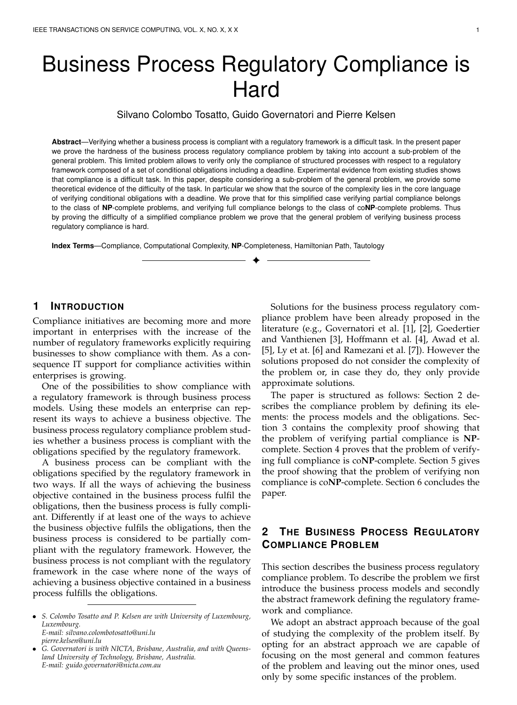# Business Process Regulatory Compliance is **Hard**

Silvano Colombo Tosatto, Guido Governatori and Pierre Kelsen

**Abstract**—Verifying whether a business process is compliant with a regulatory framework is a difficult task. In the present paper we prove the hardness of the business process regulatory compliance problem by taking into account a sub-problem of the general problem. This limited problem allows to verify only the compliance of structured processes with respect to a regulatory framework composed of a set of conditional obligations including a deadline. Experimental evidence from existing studies shows that compliance is a difficult task. In this paper, despite considering a sub-problem of the general problem, we provide some theoretical evidence of the difficulty of the task. In particular we show that the source of the complexity lies in the core language of verifying conditional obligations with a deadline. We prove that for this simplified case verifying partial compliance belongs to the class of **NP**-complete problems, and verifying full compliance belongs to the class of co**NP**-complete problems. Thus by proving the difficulty of a simplified compliance problem we prove that the general problem of verifying business process regulatory compliance is hard.

✦

**Index Terms**—Compliance, Computational Complexity, **NP**-Completeness, Hamiltonian Path, Tautology

# **1 INTRODUCTION**

Compliance initiatives are becoming more and more important in enterprises with the increase of the number of regulatory frameworks explicitly requiring businesses to show compliance with them. As a consequence IT support for compliance activities within enterprises is growing.

One of the possibilities to show compliance with a regulatory framework is through business process models. Using these models an enterprise can represent its ways to achieve a business objective. The business process regulatory compliance problem studies whether a business process is compliant with the obligations specified by the regulatory framework.

A business process can be compliant with the obligations specified by the regulatory framework in two ways. If all the ways of achieving the business objective contained in the business process fulfil the obligations, then the business process is fully compliant. Differently if at least one of the ways to achieve the business objective fulfils the obligations, then the business process is considered to be partially compliant with the regulatory framework. However, the business process is not compliant with the regulatory framework in the case where none of the ways of achieving a business objective contained in a business process fulfills the obligations.

*pierre.kelsen@uni.lu* • *G. Governatori is with NICTA, Brisbane, Australia, and with Queens-*

Solutions for the business process regulatory compliance problem have been already proposed in the literature (e.g., Governatori et al. [1], [2], Goedertier and Vanthienen [3], Hoffmann et al. [4], Awad et al. [5], Ly et at. [6] and Ramezani et al. [7]). However the solutions proposed do not consider the complexity of the problem or, in case they do, they only provide approximate solutions.

The paper is structured as follows: Section 2 describes the compliance problem by defining its elements: the process models and the obligations. Section 3 contains the complexity proof showing that the problem of verifying partial compliance is **NP**complete. Section 4 proves that the problem of verifying full compliance is co**NP**-complete. Section 5 gives the proof showing that the problem of verifying non compliance is co**NP**-complete. Section 6 concludes the paper.

# **2 THE BUSINESS PROCESS REGULATORY COMPLIANCE PROBLEM**

This section describes the business process regulatory compliance problem. To describe the problem we first introduce the business process models and secondly the abstract framework defining the regulatory framework and compliance.

We adopt an abstract approach because of the goal of studying the complexity of the problem itself. By opting for an abstract approach we are capable of focusing on the most general and common features of the problem and leaving out the minor ones, used only by some specific instances of the problem.

<sup>•</sup> *S. Colombo Tosatto and P. Kelsen are with University of Luxembourg, Luxembourg. E-mail: silvano.colombotosatto@uni.lu*

*land University of Technology, Brisbane, Australia. E-mail: guido.governatori@nicta.com.au*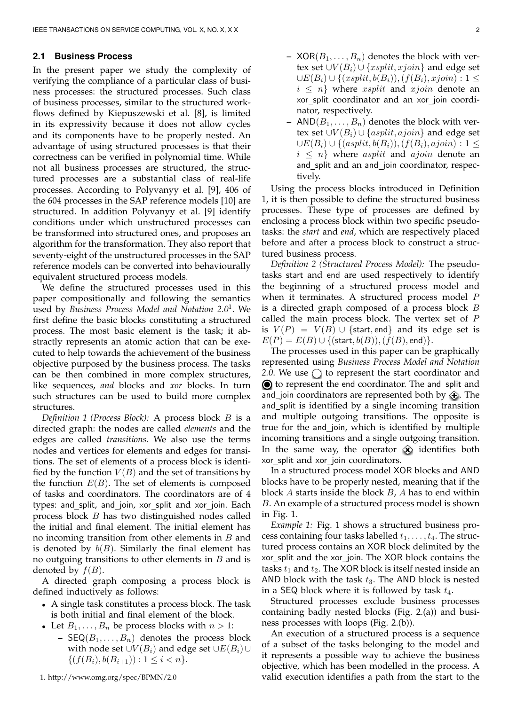#### **2.1 Business Process**

In the present paper we study the complexity of verifying the compliance of a particular class of business processes: the structured processes. Such class of business processes, similar to the structured workflows defined by Kiepuszewski et al. [8], is limited in its expressivity because it does not allow cycles and its components have to be properly nested. An advantage of using structured processes is that their correctness can be verified in polynomial time. While not all business processes are structured, the structured processes are a substantial class of real-life processes. According to Polyvanyy et al. [9], 406 of the 604 processes in the SAP reference models [10] are structured. In addition Polyvanyy et al. [9] identify conditions under which unstructured processes can be transformed into structured ones, and proposes an algorithm for the transformation. They also report that seventy-eight of the unstructured processes in the SAP reference models can be converted into behaviourally equivalent structured process models.

We define the structured processes used in this paper compositionally and following the semantics used by *Business Process Model and Notation 2.0*<sup>1</sup> . We first define the basic blocks constituting a structured process. The most basic element is the task; it abstractly represents an atomic action that can be executed to help towards the achievement of the business objective purposed by the business process. The tasks can be then combined in more complex structures, like sequences, *and* blocks and *xor* blocks. In turn such structures can be used to build more complex structures.

*Definition 1 (Process Block):* A process block B is a directed graph: the nodes are called *elements* and the edges are called *transitions*. We also use the terms nodes and vertices for elements and edges for transitions. The set of elements of a process block is identified by the function  $V(B)$  and the set of transitions by the function  $E(B)$ . The set of elements is composed of tasks and coordinators. The coordinators are of 4 types: and\_split, and\_join, xor\_split and xor\_join. Each process block B has two distinguished nodes called the initial and final element. The initial element has no incoming transition from other elements in  $B$  and is denoted by  $b(B)$ . Similarly the final element has no outgoing transitions to other elements in  $B$  and is denoted by  $f(B)$ .

A directed graph composing a process block is defined inductively as follows:

- A single task constitutes a process block. The task is both initial and final element of the block.
- Let  $B_1, \ldots, B_n$  be process blocks with  $n > 1$ :
	- **–** SEQ( $B_1, \ldots, B_n$ ) denotes the process block with node set  $\cup V(B_i)$  and edge set  $\cup E(B_i) \cup$  $\{(f(B_i), b(B_{i+1})) : 1 \leq i < n\}.$
- **–** XOR( $B_1, \ldots, B_n$ ) denotes the block with vertex set  $\cup V(B_i) \cup \{xsplit, xjoin\}$  and edge set  $\cup E(B_i) \cup \{(xsplit, b(B_i)),(f(B_i), xjoin): 1 \leq$  $i \leq n$  where *xsplit* and *xjoin* denote an xor split coordinator and an xor join coordinator, respectively.
- **–** AND $(B_1, \ldots, B_n)$  denotes the block with vertex set  $\cup V(B_i) \cup \{asplit, ajoin\}$  and edge set  $\cup E(B_i) \cup \{(asplit, b(B_i)), (f(B_i), ajoin) : 1 \leq$  $i \leq n$  where *asplit* and *ajoin* denote an and\_split and an and\_join coordinator, respectively.

Using the process blocks introduced in Definition 1, it is then possible to define the structured business processes. These type of processes are defined by enclosing a process block within two specific pseudotasks: the *start* and *end*, which are respectively placed before and after a process block to construct a structured business process.

*Definition 2 (Structured Process Model):* The pseudotasks start and end are used respectively to identify the beginning of a structured process model and when it terminates. A structured process model  $P$ is a directed graph composed of a process block  $B$ called the main process block. The vertex set of  $P$ is  $V(P) = V(B) \cup \{start, end\}$  and its edge set is  $E(P) = E(B) \cup \{(\text{start}, b(B)), (f(B), \text{end})\}.$ 

The processes used in this paper can be graphically represented using *Business Process Model and Notation* 2.0. We use  $\bigcirc$  to represent the start coordinator and  ${\bf r}$   $\bullet$  to represent the end coordinator. The and\_split and and\_join coordinators are represented both by  $\hat{\leftrightarrow}$ . The and split is identified by a single incoming transition and multiple outgoing transitions. The opposite is true for the and join, which is identified by multiple incoming transitions and a single outgoing transition. In the same way, the operator  $\langle \mathbf{x} \rangle$  identifies both xor\_split and xor\_join coordinators.

In a structured process model XOR blocks and AND blocks have to be properly nested, meaning that if the block  $A$  starts inside the block  $B$ ,  $A$  has to end within B. An example of a structured process model is shown in Fig. 1.

*Example 1:* Fig. 1 shows a structured business process containing four tasks labelled  $t_1, \ldots, t_4$ . The structured process contains an XOR block delimited by the xor\_split and the xor\_join. The XOR block contains the tasks  $t_1$  and  $t_2$ . The XOR block is itself nested inside an AND block with the task  $t_3$ . The AND block is nested in a SEQ block where it is followed by task  $t_4$ .

Structured processes exclude business processes containing badly nested blocks (Fig. 2.(a)) and business processes with loops (Fig. 2.(b)).

An execution of a structured process is a sequence of a subset of the tasks belonging to the model and it represents a possible way to achieve the business objective, which has been modelled in the process. A valid execution identifies a path from the start to the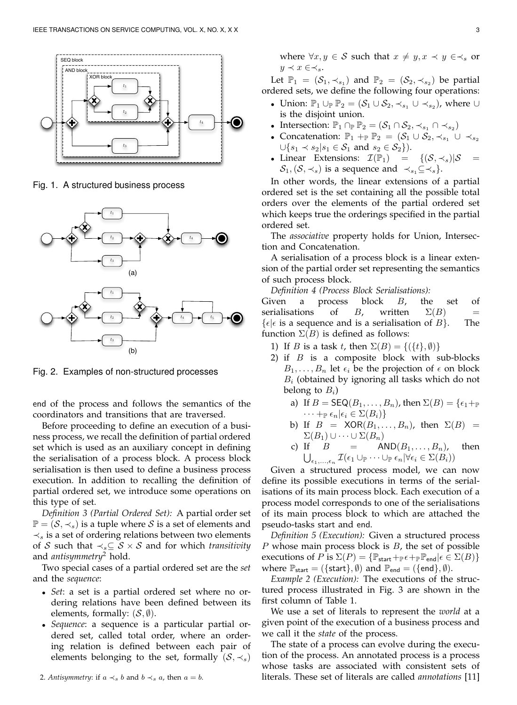

Fig. 1. A structured business process



Fig. 2. Examples of non-structured processes

end of the process and follows the semantics of the coordinators and transitions that are traversed.

Before proceeding to define an execution of a business process, we recall the definition of partial ordered set which is used as an auxiliary concept in defining the serialisation of a process block. A process block serialisation is then used to define a business process execution. In addition to recalling the definition of partial ordered set, we introduce some operations on this type of set.

*Definition 3 (Partial Ordered Set):* A partial order set  $\mathbb{P} = (\mathcal{S}, \prec_s)$  is a tuple where  $\mathcal S$  is a set of elements and  $\prec_s$  is a set of ordering relations between two elements of S such that  $\prec_s \subseteq S \times S$  and for which *transitivity* and *antisymmetry*<sup>2</sup> hold.

Two special cases of a partial ordered set are the *set* and the *sequence*:

- *Set*: a set is a partial ordered set where no ordering relations have been defined between its elements, formally:  $(S, \emptyset)$ .
- *Sequence*: a sequence is a particular partial ordered set, called total order, where an ordering relation is defined between each pair of elements belonging to the set, formally  $(S, \prec_s)$

where  $\forall x, y \in S$  such that  $x \neq y, x \prec y \in \prec_s \text{or}$  $y \prec x \in \prec_s$ .

Let  $\mathbb{P}_1 = (\mathcal{S}_1, \prec_{s_1})$  and  $\mathbb{P}_2 = (\mathcal{S}_2, \prec_{s_2})$  be partial ordered sets, we define the following four operations:

- Union:  $\mathbb{P}_1 \cup_{\mathbb{P}} \mathbb{P}_2 = (\mathcal{S}_1 \cup \mathcal{S}_2, \prec_{s_1} \cup \prec_{s_2}),$  where  $\cup$ is the disjoint union.
- Intersection:  $\mathbb{P}_1 \cap \mathbb{P} \mathbb{P}_2 = (\mathcal{S}_1 \cap \mathcal{S}_2, \prec_{s_1} \cap \prec_{s_2})$
- Concatenation:  $\mathbb{P}_1 +_{\mathbb{P}} \mathbb{P}_2 = (\mathcal{S}_1 \cup \mathcal{S}_2, \prec_{s_1} \cup \prec_{s_2})$  $\cup \{s_1 \prec s_2 | s_1 \in S_1 \text{ and } s_2 \in S_2\}.$
- Linear Extensions:  $\mathcal{I}(\mathbb{P}_1) = \{(\mathcal{S},\prec_s)|\mathcal{S} =$  $S_1$ ,  $(S, \prec_s)$  is a sequence and  $\prec_{s_1} \subseteq \prec_s$ .

In other words, the linear extensions of a partial ordered set is the set containing all the possible total orders over the elements of the partial ordered set which keeps true the orderings specified in the partial ordered set.

The *associative* property holds for Union, Intersection and Concatenation.

A serialisation of a process block is a linear extension of the partial order set representing the semantics of such process block.

*Definition 4 (Process Block Serialisations):*

Given a process block  $B$ , the set of serialisations of B, written  $\Sigma(B)$  =  $\{\epsilon | \epsilon \text{ is a sequence and is a serialization of } B\}.$  The function  $\Sigma(B)$  is defined as follows:

- 1) If B is a task t, then  $\Sigma(B) = \{(\{t\}, \emptyset)\}\$
- 2) if  $B$  is a composite block with sub-blocks  $B_1, \ldots, B_n$  let  $\epsilon_i$  be the projection of  $\epsilon$  on block  $B_i$  (obtained by ignoring all tasks which do not belong to  $B_i$ )
	- a) If  $B = \mathsf{SEQ}(B_1, \ldots, B_n)$ , then  $\Sigma(B) = \{\epsilon_1 + \epsilon\}$  $\cdots +_{\mathbb{P}} \epsilon_n | \epsilon_i \in \Sigma(B_i) \}$
	- b) If  $B = XOR(B_1, \ldots, B_n)$ , then  $\Sigma(B) =$  $\Sigma(B_1) \cup \cdots \cup \Sigma(B_n)$ <br>c) If  $B = \mathsf{A}$
	- AND $(B_1, \ldots, B_n)$ , then  $\bigcup_{\epsilon_1,\ldots,\epsilon_n}\mathcal{I}(\epsilon_1\cup_{\mathbb{P}}\cdots\cup_{\mathbb{P}}\epsilon_n|\forall\epsilon_i\in\Sigma(B_i))$

Given a structured process model, we can now define its possible executions in terms of the serialisations of its main process block. Each execution of a process model corresponds to one of the serialisations of its main process block to which are attached the pseudo-tasks start and end.

*Definition 5 (Execution):* Given a structured process  $P$  whose main process block is  $B$ , the set of possible executions of P is  $\Sigma(P) = {\mathbb{P}_{\text{start}}} +_{\mathbb{P}} \epsilon +_{\mathbb{P}} {\mathbb{P}_{\text{end}}} \epsilon \in \Sigma(B)$ where  $\mathbb{P}_{start} = (\{\text{start}\}, \emptyset)$  and  $\mathbb{P}_{end} = (\{\text{end}\}, \emptyset)$ .

*Example 2 (Execution):* The executions of the structured process illustrated in Fig. 3 are shown in the first column of Table 1.

We use a set of literals to represent the *world* at a given point of the execution of a business process and we call it the *state* of the process.

The state of a process can evolve during the execution of the process. An annotated process is a process whose tasks are associated with consistent sets of literals. These set of literals are called *annotations* [11]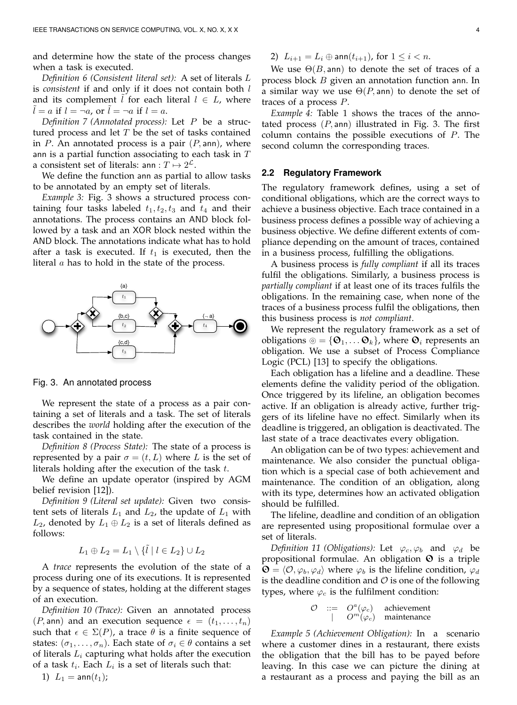and determine how the state of the process changes when a task is executed.

*Definition 6 (Consistent literal set):* A set of literals L is *consistent* if and only if it does not contain both l and its complement *l* for each literal  $l \in L$ , where  $l = a$  if  $l = \neg a$ , or  $l = \neg a$  if  $l = a$ .

*Definition 7 (Annotated process):* Let P be a structured process and let  $T$  be the set of tasks contained in  $P$ . An annotated process is a pair  $(P, \text{ann})$ , where ann is a partial function associating to each task in  $T$ a consistent set of literals: ann :  $T \mapsto 2^{\mathcal{L}}$ .

We define the function ann as partial to allow tasks to be annotated by an empty set of literals.

*Example 3:* Fig. 3 shows a structured process containing four tasks labeled  $t_1, t_2, t_3$  and  $t_4$  and their annotations. The process contains an AND block followed by a task and an XOR block nested within the AND block. The annotations indicate what has to hold after a task is executed. If  $t_1$  is executed, then the literal  $a$  has to hold in the state of the process.



Fig. 3. An annotated process

We represent the state of a process as a pair containing a set of literals and a task. The set of literals describes the *world* holding after the execution of the task contained in the state.

*Definition 8 (Process State):* The state of a process is represented by a pair  $\sigma = (t, L)$  where L is the set of literals holding after the execution of the task  $t$ .

We define an update operator (inspired by AGM belief revision [12]).

*Definition 9 (Literal set update):* Given two consistent sets of literals  $L_1$  and  $L_2$ , the update of  $L_1$  with  $L_2$ , denoted by  $L_1 \oplus L_2$  is a set of literals defined as follows:

$$
L_1 \oplus L_2 = L_1 \setminus \{ \tilde{l} \mid l \in L_2 \} \cup L_2
$$

A *trace* represents the evolution of the state of a process during one of its executions. It is represented by a sequence of states, holding at the different stages of an execution.

*Definition 10 (Trace):* Given an annotated process  $(P, \text{ann})$  and an execution sequence  $\epsilon = (t_1, \ldots, t_n)$ such that  $\epsilon \in \Sigma(P)$ , a trace  $\theta$  is a finite sequence of states:  $(\sigma_1, \ldots, \sigma_n)$ . Each state of  $\sigma_i \in \theta$  contains a set of literals  $L_i$  capturing what holds after the execution of a task  $t_i$ . Each  $L_i$  is a set of literals such that:

2)  $L_{i+1} = L_i \oplus \text{ann}(t_{i+1})$ , for  $1 \leq i < n$ .

We use  $\Theta(B, \text{ann})$  to denote the set of traces of a process block B given an annotation function ann. In a similar way we use  $\Theta(P, \text{ann})$  to denote the set of traces of a process P.

*Example 4:* Table 1 shows the traces of the annotated process  $(P, \text{ann})$  illustrated in Fig. 3. The first column contains the possible executions of P. The second column the corresponding traces.

#### **2.2 Regulatory Framework**

The regulatory framework defines, using a set of conditional obligations, which are the correct ways to achieve a business objective. Each trace contained in a business process defines a possible way of achieving a business objective. We define different extents of compliance depending on the amount of traces, contained in a business process, fulfilling the obligations.

A business process is *fully compliant* if all its traces fulfil the obligations. Similarly, a business process is *partially compliant* if at least one of its traces fulfils the obligations. In the remaining case, when none of the traces of a business process fulfil the obligations, then this business process is *not compliant*.

We represent the regulatory framework as a set of obligations  $\circledcirc = {\mathbf{\Theta}_1, \dots \mathbf{\Theta}_k}$ , where  $\mathbf{\Theta}_i$  represents an obligation. We use a subset of Process Compliance Logic (PCL) [13] to specify the obligations.

Each obligation has a lifeline and a deadline. These elements define the validity period of the obligation. Once triggered by its lifeline, an obligation becomes active. If an obligation is already active, further triggers of its lifeline have no effect. Similarly when its deadline is triggered, an obligation is deactivated. The last state of a trace deactivates every obligation.

An obligation can be of two types: achievement and maintenance. We also consider the punctual obligation which is a special case of both achievement and maintenance. The condition of an obligation, along with its type, determines how an activated obligation should be fulfilled.

The lifeline, deadline and condition of an obligation are represented using propositional formulae over a set of literals.

*Definition 11 (Obligations):* Let  $\varphi_c, \varphi_b$  and  $\varphi_d$  be propositional formulae. An obligation  $\Theta$  is a triple  $\mathbf{\Theta} = \langle \mathcal{O}, \varphi_b, \varphi_d \rangle$  where  $\varphi_b$  is the lifeline condition,  $\varphi_d$ is the deadline condition and  $\mathcal O$  is one of the following types, where  $\varphi_c$  is the fulfilment condition:

$$
\begin{array}{ccc} \mathcal{O} & ::= & O^a(\varphi_c) & \text{achievement} \\ & | & O^m(\varphi_c) & \text{maintename} \end{array}
$$

*Example 5 (Achievement Obligation):* In a scenario where a customer dines in a restaurant, there exists the obligation that the bill has to be payed before leaving. In this case we can picture the dining at a restaurant as a process and paying the bill as an

1)  $L_1 = \text{ann}(t_1)$ ;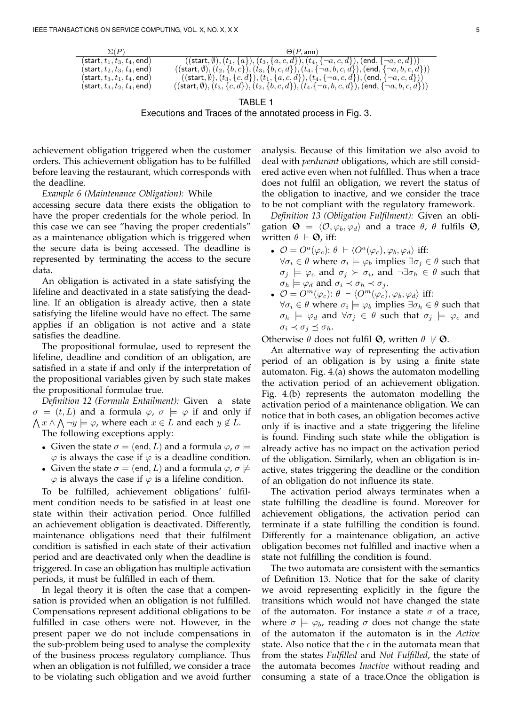| $\Sigma(P)$                                     | $\Theta(P, \text{ann})$                                                                                                                 |
|-------------------------------------------------|-----------------------------------------------------------------------------------------------------------------------------------------|
| (start, $t_1, t_3, t_4,$ end)                   | $((\textsf{start}, \emptyset), (t_1, \{a\}), (t_3, \{a, c, d\}), (t_4, \{\neg a, c, d\}), (\textsf{end}, \{\neg a, c, d\}))$            |
| (start, $t_2, t_3, t_4,$ end)                   | $((\mathsf{start}, \emptyset), (t_2, \{b, c\}), (t_3, \{b, c, d\}), (t_4, \{\lnot a, b, c, d\}), (\mathsf{end}, \{\lnot a, b, c, d\}))$ |
| $(\textsf{start}, t_3, t_1, t_4, \textsf{end})$ | $((start, \emptyset), (t_3, \{c, d\}), (t_1, \{a, c, d\}), (t_4, \{\neg a, c, d\}), (end, \{\neg a, c, d\}))$                           |
| $(\textsf{start}, t_3, t_2, t_4, \textsf{end})$ | $((\mathsf{start}, \emptyset), (t_3, \{c,d\}), (t_2, \{b,c,d\}), (t_4, \{\neg a, b, c, d\}), (\mathsf{end}, \{\neg a, b, c, d\}))$      |

TABLE 1 Executions and Traces of the annotated process in Fig. 3.

achievement obligation triggered when the customer orders. This achievement obligation has to be fulfilled before leaving the restaurant, which corresponds with the deadline.

*Example 6 (Maintenance Obligation):* While

accessing secure data there exists the obligation to have the proper credentials for the whole period. In this case we can see "having the proper credentials" as a maintenance obligation which is triggered when the secure data is being accessed. The deadline is represented by terminating the access to the secure data.

An obligation is activated in a state satisfying the lifeline and deactivated in a state satisfying the deadline. If an obligation is already active, then a state satisfying the lifeline would have no effect. The same applies if an obligation is not active and a state satisfies the deadline.

The propositional formulae, used to represent the lifeline, deadline and condition of an obligation, are satisfied in a state if and only if the interpretation of the propositional variables given by such state makes the propositional formulae true.

*Definition 12 (Formula Entailment):* Given a state  $\sigma = (t, L)$  and a formula  $\varphi$ ,  $\sigma \models \varphi$  if and only if  $\bigwedge x \land \bigwedge \neg y \models \varphi$ , where each  $x \in L$  and each  $y \notin L$ . The following exceptions apply:

- Given the state  $\sigma = (end, L)$  and a formula  $\varphi$ ,  $\sigma \models$  $\varphi$  is always the case if  $\varphi$  is a deadline condition.
- Given the state  $\sigma = (end, L)$  and a formula  $\varphi$ ,  $\sigma \not\models$  $\varphi$  is always the case if  $\varphi$  is a lifeline condition.

To be fulfilled, achievement obligations' fulfilment condition needs to be satisfied in at least one state within their activation period. Once fulfilled an achievement obligation is deactivated. Differently, maintenance obligations need that their fulfilment condition is satisfied in each state of their activation period and are deactivated only when the deadline is triggered. In case an obligation has multiple activation periods, it must be fulfilled in each of them.

In legal theory it is often the case that a compensation is provided when an obligation is not fulfilled. Compensations represent additional obligations to be fulfilled in case others were not. However, in the present paper we do not include compensations in the sub-problem being used to analyse the complexity of the business process regulatory compliance. Thus when an obligation is not fulfilled, we consider a trace to be violating such obligation and we avoid further analysis. Because of this limitation we also avoid to deal with *perdurant* obligations, which are still considered active even when not fulfilled. Thus when a trace does not fulfil an obligation, we revert the status of the obligation to inactive, and we consider the trace to be not compliant with the regulatory framework.

*Definition 13 (Obligation Fulfilment):* Given an obligation  $\mathbf{\Theta} = \langle \mathcal{O}, \varphi_b, \varphi_d \rangle$  and a trace  $\theta$ ,  $\theta$  fulfils  $\mathbf{\Theta}$ , written  $\theta \vdash \mathbf{\Theta}$ , iff:

- $\mathcal{O} = O^a(\varphi_c)$ :  $\theta \vdash \langle O^a(\varphi_c), \varphi_b, \varphi_d \rangle$  iff:  $\forall \sigma_i \in \theta$  where  $\sigma_i \models \varphi_b$  implies  $\exists \sigma_j \in \theta$  such that  $\sigma_j \models \varphi_c$  and  $\sigma_j \succ \sigma_i$ , and  $\neg \exists \sigma_h \in \theta$  such that  $\sigma_h \models \varphi_d$  and  $\sigma_i \prec \sigma_h \prec \sigma_j$ .
- $\mathcal{O} = O^m(\varphi_c)$ :  $\theta \vdash \langle O^m(\varphi_c), \varphi_b, \varphi_d \rangle$  iff:  $\forall \sigma_i \in \theta$  where  $\sigma_i \models \varphi_b$  implies  $\exists \sigma_h \in \theta$  such that  $\sigma_h$   $\models$   $\varphi_d$  and  $\forall \sigma_j \in \theta$  such that  $\sigma_j \models \varphi_c$  and  $\sigma_i \prec \sigma_j \preceq \sigma_h$ .

Otherwise  $\theta$  does not fulfil **O**, written  $\theta \neq \mathbf{O}$ .

An alternative way of representing the activation period of an obligation is by using a finite state automaton. Fig. 4.(a) shows the automaton modelling the activation period of an achievement obligation. Fig. 4.(b) represents the automaton modelling the activation period of a maintenance obligation. We can notice that in both cases, an obligation becomes active only if is inactive and a state triggering the lifeline is found. Finding such state while the obligation is already active has no impact on the activation period of the obligation. Similarly, when an obligation is inactive, states triggering the deadline or the condition of an obligation do not influence its state.

The activation period always terminates when a state fulfilling the deadline is found. Moreover for achievement obligations, the activation period can terminate if a state fulfilling the condition is found. Differently for a maintenance obligation, an active obligation becomes not fulfilled and inactive when a state not fulfilling the condition is found.

The two automata are consistent with the semantics of Definition 13. Notice that for the sake of clarity we avoid representing explicitly in the figure the transitions which would not have changed the state of the automaton. For instance a state  $\sigma$  of a trace, where  $\sigma \models \varphi_b$ , reading  $\sigma$  does not change the state of the automaton if the automaton is in the *Active* state. Also notice that the  $\epsilon$  in the automata mean that from the states *Fulfilled* and *Not Fulfilled*, the state of the automata becomes *Inactive* without reading and consuming a state of a trace.Once the obligation is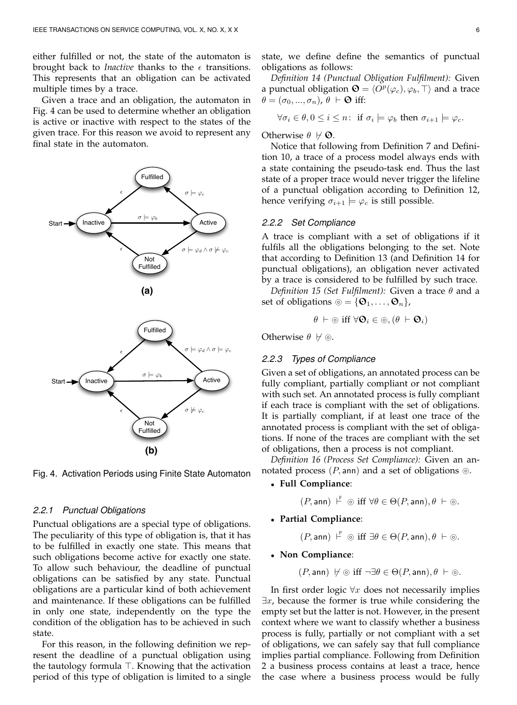either fulfilled or not, the state of the automaton is brought back to *Inactive* thanks to the  $\epsilon$  transitions. This represents that an obligation can be activated multiple times by a trace.

Given a trace and an obligation, the automaton in Fig. 4 can be used to determine whether an obligation is active or inactive with respect to the states of the given trace. For this reason we avoid to represent any final state in the automaton.





Fig. 4. Activation Periods using Finite State Automaton

#### *2.2.1 Punctual Obligations*

Punctual obligations are a special type of obligations. The peculiarity of this type of obligation is, that it has to be fulfilled in exactly one state. This means that such obligations become active for exactly one state. To allow such behaviour, the deadline of punctual obligations can be satisfied by any state. Punctual obligations are a particular kind of both achievement and maintenance. If these obligations can be fulfilled in only one state, independently on the type the condition of the obligation has to be achieved in such state.

For this reason, in the following definition we represent the deadline of a punctual obligation using the tautology formula  $\top$ . Knowing that the activation period of this type of obligation is limited to a single state, we define define the semantics of punctual obligations as follows:

*Definition 14 (Punctual Obligation Fulfilment):* Given a punctual obligation  $\mathbf{Q} = \langle \overline{O^p}(\varphi_c), \varphi_b, \top \rangle$  and a trace  $\theta = (\sigma_0, ..., \sigma_n), \theta \vdash \mathbf{\Theta}$  iff:

$$
\forall \sigma_i \in \theta, 0 \leq i \leq n: \text{ if } \sigma_i \models \varphi_b \text{ then } \sigma_{i+1} \models \varphi_c.
$$

#### Otherwise  $\theta \not\vdash \mathbf{\Theta}$ .

Notice that following from Definition 7 and Definition 10, a trace of a process model always ends with a state containing the pseudo-task end. Thus the last state of a proper trace would never trigger the lifeline of a punctual obligation according to Definition 12, hence verifying  $\sigma_{i+1} \models \varphi_c$  is still possible.

## *2.2.2 Set Compliance*

A trace is compliant with a set of obligations if it fulfils all the obligations belonging to the set. Note that according to Definition 13 (and Definition 14 for punctual obligations), an obligation never activated by a trace is considered to be fulfilled by such trace.

*Definition 15 (Set Fulfilment):* Given a trace θ and a set of obligations  $\circledcirc = {\mathbf{\Theta}_1, \ldots, \mathbf{\Theta}_n}$ ,

$$
\theta \vdash \circledcirc \text{ iff } \forall \mathbf{\Theta}_i \in \circledcirc, (\theta \vdash \mathbf{\Theta}_i)
$$

Otherwise  $\theta \not\vdash \circledcirc$ .

#### *2.2.3 Types of Compliance*

Given a set of obligations, an annotated process can be fully compliant, partially compliant or not compliant with such set. An annotated process is fully compliant if each trace is compliant with the set of obligations. It is partially compliant, if at least one trace of the annotated process is compliant with the set of obligations. If none of the traces are compliant with the set of obligations, then a process is not compliant.

*Definition 16 (Process Set Compliance):* Given an annotated process  $(P, \text{ann})$  and a set of obligations  $\circledcirc$ .

# • **Full Compliance**:

 $(P, \textsf{ann}) \vdash^{\textsf{F}} \circledcirc \text{ iff } \forall \theta \in \Theta(P, \textsf{ann}), \theta \vdash \circledcirc.$ 

• **Partial Compliance**:

 $(P, \textsf{ann}) \vdash^{\mathbb{P}} \circledcirc \text{ iff } \exists \theta \in \Theta(P, \textsf{ann}), \theta \vdash \circledcirc.$ 

# • **Non Compliance**:

$$
(P, \mathsf{ann}) \ \not\vdash \circledcirc \ \text{iff} \ \neg \exists \theta \in \Theta(P, \mathsf{ann}), \theta \ \vdash \circledcirc.
$$

In first order logic  $\forall x$  does not necessarily implies  $\exists x$ , because the former is true while considering the empty set but the latter is not. However, in the present context where we want to classify whether a business process is fully, partially or not compliant with a set of obligations, we can safely say that full compliance implies partial compliance. Following from Definition 2 a business process contains at least a trace, hence the case where a business process would be fully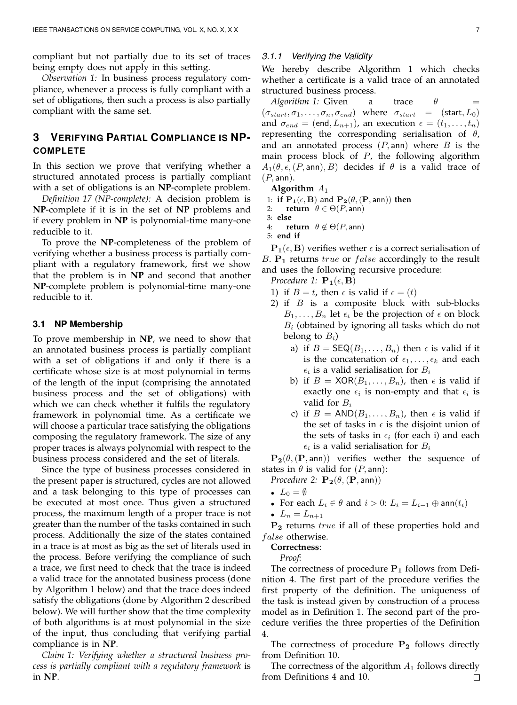compliant but not partially due to its set of traces being empty does not apply in this setting.

*Observation 1:* In business process regulatory compliance, whenever a process is fully compliant with a set of obligations, then such a process is also partially compliant with the same set.

# **3 VERIFYING PARTIAL COMPLIANCE IS NP-COMPLETE**

In this section we prove that verifying whether a structured annotated process is partially compliant with a set of obligations is an **NP**-complete problem.

*Definition 17 (NP-complete):* A decision problem is **NP**-complete if it is in the set of **NP** problems and if every problem in **NP** is polynomial-time many-one reducible to it.

To prove the **NP**-completeness of the problem of verifying whether a business process is partially compliant with a regulatory framework, first we show that the problem is in **NP** and second that another **NP**-complete problem is polynomial-time many-one reducible to it.

# **3.1 NP Membership**

To prove membership in **NP**, we need to show that an annotated business process is partially compliant with a set of obligations if and only if there is a certificate whose size is at most polynomial in terms of the length of the input (comprising the annotated business process and the set of obligations) with which we can check whether it fulfils the regulatory framework in polynomial time. As a certificate we will choose a particular trace satisfying the obligations composing the regulatory framework. The size of any proper traces is always polynomial with respect to the business process considered and the set of literals.

Since the type of business processes considered in the present paper is structured, cycles are not allowed and a task belonging to this type of processes can be executed at most once. Thus given a structured process, the maximum length of a proper trace is not greater than the number of the tasks contained in such process. Additionally the size of the states contained in a trace is at most as big as the set of literals used in the process. Before verifying the compliance of such a trace, we first need to check that the trace is indeed a valid trace for the annotated business process (done by Algorithm 1 below) and that the trace does indeed satisfy the obligations (done by Algorithm 2 described below). We will further show that the time complexity of both algorithms is at most polynomial in the size of the input, thus concluding that verifying partial compliance is in **NP**.

*Claim 1: Verifying whether a structured business process is partially compliant with a regulatory framework* is in **NP**.

## *3.1.1 Verifying the Validity*

We hereby describe Algorithm 1 which checks whether a certificate is a valid trace of an annotated structured business process.

*Algorithm 1:* Given a trace  $\theta$  $(\sigma_{start}, \sigma_1, \ldots, \sigma_n, \sigma_{end})$  where  $\sigma_{start} =$  (start,  $L_0$ ) and  $\sigma_{end} = (end, L_{n+1})$ , an execution  $\epsilon = (t_1, \ldots, t_n)$ representing the corresponding serialisation of  $\theta$ , and an annotated process  $(P, \text{ann})$  where B is the main process block of  $P$ , the following algorithm  $A_1(\theta, \epsilon, (P, \text{ann}), B)$  decides if  $\theta$  is a valid trace of  $(P, \text{ann}).$ 

**Algorithm** A<sup>1</sup>

1: **if**  $\mathbf{P}_1(\epsilon, \mathbf{B})$  and  $\mathbf{P}_2(\theta, (\mathbf{P}, \mathsf{ann}))$  then

- 2: **return**  $\theta \in \Theta(P, \text{ann})$
- 3: **else** 4: **return**  $\theta \notin \Theta(P, \text{ann})$
- 5: **end if**

 $P_1(\epsilon, B)$  verifies wether  $\epsilon$  is a correct serialisation of B.  $P_1$  returns true or false accordingly to the result and uses the following recursive procedure:

*Procedure 1:*  $\mathbf{P}_1(\epsilon, \mathbf{B})$ 

- 1) if  $B = t$ , then  $\epsilon$  is valid if  $\epsilon = (t)$
- 2) if  $B$  is a composite block with sub-blocks  $B_1, \ldots, B_n$  let  $\epsilon_i$  be the projection of  $\epsilon$  on block  $B_i$  (obtained by ignoring all tasks which do not belong to  $B_i$ )
	- a) if  $B = \mathsf{SEQ}(B_1, \ldots, B_n)$  then  $\epsilon$  is valid if it is the concatenation of  $\epsilon_1, \ldots, \epsilon_k$  and each  $\epsilon_i$  is a valid serialisation for  $B_i$
	- b) if  $B = XOR(B_1, \ldots, B_n)$ , then  $\epsilon$  is valid if exactly one  $\epsilon_i$  is non-empty and that  $\epsilon_i$  is valid for  $B_i$
	- c) if  $B = AND(B_1, \ldots, B_n)$ , then  $\epsilon$  is valid if the set of tasks in  $\epsilon$  is the disjoint union of the sets of tasks in  $\epsilon_i$  (for each i) and each  $\epsilon_i$  is a valid serialisation for  $B_i$

 $P_2(\theta,(P,ann))$  verifies wether the sequence of states in  $\theta$  is valid for  $(P, \text{ann})$ :

*Procedure 2:*  $\mathbf{P_2}(\theta, (\mathbf{P}, \text{ann}))$ 

- $L_0 = \emptyset$
- For each  $L_i \in \theta$  and  $i > 0$ :  $L_i = L_{i-1} \oplus \text{ann}(t_i)$
- $L_n = L_{n+1}$

 $P_2$  returns  $true$  if all of these properties hold and false otherwise.

#### **Correctness**:

*Proof:*

The correctness of procedure  $P_1$  follows from Definition 4. The first part of the procedure verifies the first property of the definition. The uniqueness of the task is instead given by construction of a process model as in Definition 1. The second part of the procedure verifies the three properties of the Definition 4.

The correctness of procedure  $P_2$  follows directly from Definition 10.

The correctness of the algorithm  $A_1$  follows directly from Definitions 4 and 10. $\Box$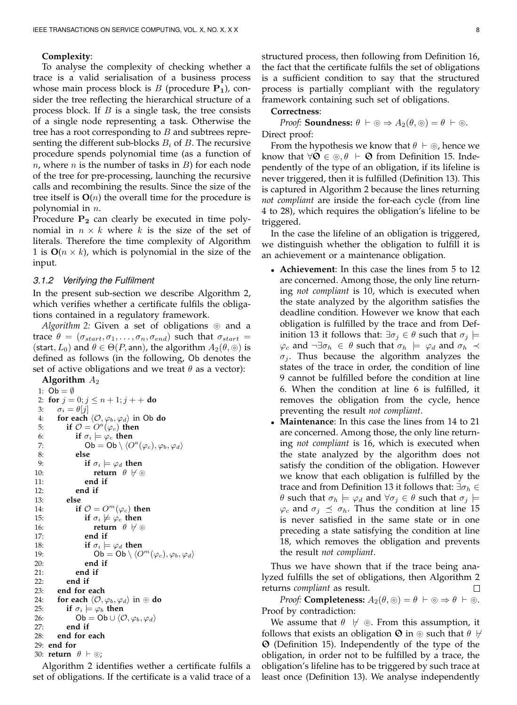#### **Complexity**:

To analyse the complexity of checking whether a trace is a valid serialisation of a business process whose main process block is  $B$  (procedure  $P_1$ ), consider the tree reflecting the hierarchical structure of a process block. If  $B$  is a single task, the tree consists of a single node representing a task. Otherwise the tree has a root corresponding to  $B$  and subtrees representing the different sub-blocks  $B_i$  of B. The recursive procedure spends polynomial time (as a function of  $n$ , where  $n$  is the number of tasks in  $B$ ) for each node of the tree for pre-processing, launching the recursive calls and recombining the results. Since the size of the tree itself is  $O(n)$  the overall time for the procedure is polynomial in  $n$ .

Procedure  $P_2$  can clearly be executed in time polynomial in  $n \times k$  where k is the size of the set of literals. Therefore the time complexity of Algorithm 1 is  $O(n \times k)$ , which is polynomial in the size of the input.

## *3.1.2 Verifying the Fulfilment*

In the present sub-section we describe Algorithm 2, which verifies whether a certificate fulfils the obligations contained in a regulatory framework.

*Algorithm 2:* Given a set of obligations  $\circ$  and a trace  $\theta = (\sigma_{start}, \sigma_1, \ldots, \sigma_n, \sigma_{end})$  such that  $\sigma_{start}$ (start,  $L_0$ ) and  $\theta \in \Theta(P, \text{ann})$ , the algorithm  $A_2(\theta, \circledcirc)$  is defined as follows (in the following, Ob denotes the set of active obligations and we treat  $\theta$  as a vector):

```
Algorithm A_21: Ob = \emptyset2: for j = 0; j \leq n + 1; j + +do
 3: \sigma_i = \theta[j]4: for each \langle \mathcal{O}, \varphi_b, \varphi_d \rangle in Ob do<br>5: if \mathcal{O} = O^a(\varphi_c) then
  5: if \mathcal{O} = O^a(\varphi_c) then
 6: if \sigma_i \models \varphi_c then
  7: \mathsf{Ob} = \mathsf{Ob} \setminus \langle O^a(\varphi_c), \varphi_b, \varphi_d \rangle8: else
                    if \sigma_i \models \varphi_d then
10: return \theta \not\vdash \circledcirc11: end if
12: end if
13: else
14: if \mathcal{O} = O^m(\varphi_c) then
15: if \sigma_i \not\models \varphi_c then
16: return \theta \not\vdash \circledcirc17: end if
18: if \sigma_i \models \varphi_d then
19: \mathsf{Ob} = \mathsf{Ob} \setminus \langle O^m(\varphi_c), \varphi_b, \varphi_d \rangle20: end if
21: end if
22: end if
23: end for each
24: for each \langle O, \varphi_b, \varphi_d \rangle in \odot do<br>25: if \sigma_i \models \varphi_b then
             if \sigma_i \models \varphi_b then
26: Ob = Ob \cup \langle \mathcal{O}, \varphi_b, \varphi_d \rangle27: end if
28: end for each
29: end for
30: return \theta \vdash \circledcirc;
```
Algorithm 2 identifies wether a certificate fulfils a set of obligations. If the certificate is a valid trace of a

#### **Correctness**:

*Proof:* **Soundness:**  $\theta \vdash \odot \Rightarrow A_2(\theta, \odot) = \theta \vdash \odot$ . Direct proof:

From the hypothesis we know that  $\theta \vdash \circledcirc$ , hence we know that  $\forall \mathbf{O} \in \circledcirc, \theta \vdash \mathbf{O}$  from Definition 15. Independently of the type of an obligation, if its lifeline is never triggered, then it is fulfilled (Definition 13). This is captured in Algorithm 2 because the lines returning *not compliant* are inside the for-each cycle (from line 4 to 28), which requires the obligation's lifeline to be triggered.

In the case the lifeline of an obligation is triggered, we distinguish whether the obligation to fulfill it is an achievement or a maintenance obligation.

- **Achievement**: In this case the lines from 5 to 12 are concerned. Among those, the only line returning *not compliant* is 10, which is executed when the state analyzed by the algorithm satisfies the deadline condition. However we know that each obligation is fulfilled by the trace and from Definition 13 it follows that:  $\exists \sigma_j \in \theta$  such that  $\sigma_j \models$  $\varphi_c$  and  $\neg \exists \sigma_h \in \theta$  such that  $\sigma_h \models \varphi_d$  and  $\sigma_h \prec$  $\sigma_i$ . Thus because the algorithm analyzes the states of the trace in order, the condition of line 9 cannot be fulfilled before the condition at line 6. When the condition at line 6 is fulfilled, it removes the obligation from the cycle, hence preventing the result *not compliant*.
- **Maintenance**: In this case the lines from 14 to 21 are concerned. Among those, the only line returning *not compliant* is 16, which is executed when the state analyzed by the algorithm does not satisfy the condition of the obligation. However we know that each obligation is fulfilled by the trace and from Definition 13 it follows that:  $\exists \sigma_h \in$ *θ* such that  $σ<sub>h</sub>$   $\models$   $φ<sub>d</sub>$  and  $∀σ<sub>j</sub> ∈ θ$  such that  $σ<sub>j</sub>$   $\models$  $\varphi_c$  and  $\sigma_j \preceq \sigma_h$ . Thus the condition at line 15 is never satisfied in the same state or in one preceding a state satisfying the condition at line 18, which removes the obligation and prevents the result *not compliant*.

Thus we have shown that if the trace being analyzed fulfills the set of obligations, then Algorithm 2 returns *compliant* as result. П

*Proof:* **Completeness:**  $A_2(\theta, \circledcirc) = \theta \vdash \circledcirc \Rightarrow \theta \vdash \circledcirc$ . Proof by contradiction:

We assume that  $\theta \not\vdash \circledcirc$ . From this assumption, it follows that exists an obligation  $\Theta$  in  $\circledcirc$  such that  $\theta \not\vdash$  $\Theta$  (Definition 15). Independently of the type of the obligation, in order not to be fulfilled by a trace, the obligation's lifeline has to be triggered by such trace at least once (Definition 13). We analyse independently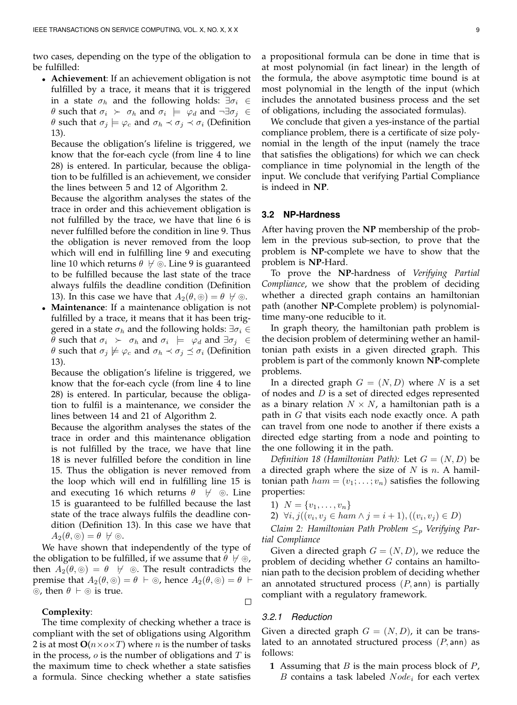two cases, depending on the type of the obligation to be fulfilled:

• **Achievement**: If an achievement obligation is not fulfilled by a trace, it means that it is triggered in a state  $\sigma_h$  and the following holds:  $\exists \sigma_i \in$  $\theta$  such that  $\sigma_i$   $\succ \sigma_h$  and  $\sigma_i$   $\models \varphi_d$  and  $\neg \exists \sigma_j \in$ *θ* such that  $σ<sub>j</sub> |= φ<sub>c</sub>$  and  $σ<sub>h</sub> ∼ σ<sub>j</sub> ∝ σ<sub>i</sub>$  (Definition 13).

Because the obligation's lifeline is triggered, we know that the for-each cycle (from line 4 to line 28) is entered. In particular, because the obligation to be fulfilled is an achievement, we consider the lines between 5 and 12 of Algorithm 2.

Because the algorithm analyses the states of the trace in order and this achievement obligation is not fulfilled by the trace, we have that line 6 is never fulfilled before the condition in line 9. Thus the obligation is never removed from the loop which will end in fulfilling line 9 and executing line 10 which returns  $\theta \not\vdash \circledcirc$ . Line 9 is guaranteed to be fulfilled because the last state of the trace always fulfils the deadline condition (Definition 13). In this case we have that  $A_2(\theta, \circledcirc) = \theta \; \forall \circledcirc$ .

• **Maintenance**: If a maintenance obligation is not fulfilled by a trace, it means that it has been triggered in a state  $\sigma_h$  and the following holds:  $\exists \sigma_i \in$  $\theta$  such that  $\sigma_i$   $\succ \sigma_h$  and  $\sigma_i$   $\models \varphi_d$  and  $\exists \sigma_j \in$ θ such that  $σ_j \not\models φ_c$  and  $σ_h \prec σ_j ≤ σ_i$  (Definition 13).

Because the obligation's lifeline is triggered, we know that the for-each cycle (from line 4 to line 28) is entered. In particular, because the obligation to fulfil is a maintenance, we consider the lines between 14 and 21 of Algorithm 2.

Because the algorithm analyses the states of the trace in order and this maintenance obligation is not fulfilled by the trace, we have that line 18 is never fulfilled before the condition in line 15. Thus the obligation is never removed from the loop which will end in fulfilling line 15 is and executing 16 which returns  $\theta \quad \forall \quad \circledcirc$ . Line 15 is guaranteed to be fulfilled because the last state of the trace always fulfils the deadline condition (Definition 13). In this case we have that  $A_2(\theta, \circledcirc) = \theta \; \not\vdash \circledcirc.$ 

We have shown that independently of the type of the obligation to be fulfilled, if we assume that  $\theta \not\vdash \odot$ , then  $A_2(\theta, \circledcirc) = \theta \quad \forall \circledcirc$ . The result contradicts the premise that  $A_2(\theta, \circledcirc) = \theta + \circledcirc$ , hence  $A_2(\theta, \circledcirc) = \theta + \circledcirc$  $\circledcirc$ , then  $\theta \vdash \circledcirc$  is true.

# **Complexity**:

The time complexity of checking whether a trace is compliant with the set of obligations using Algorithm 2 is at most  $O(n \times o \times T)$  where *n* is the number of tasks in the process,  $\sigma$  is the number of obligations and  $T$  is the maximum time to check whether a state satisfies a formula. Since checking whether a state satisfies

a propositional formula can be done in time that is at most polynomial (in fact linear) in the length of the formula, the above asymptotic time bound is at most polynomial in the length of the input (which includes the annotated business process and the set of obligations, including the associated formulas).

We conclude that given a yes-instance of the partial compliance problem, there is a certificate of size polynomial in the length of the input (namely the trace that satisfies the obligations) for which we can check compliance in time polynomial in the length of the input. We conclude that verifying Partial Compliance is indeed in **NP**.

# **3.2 NP-Hardness**

After having proven the **NP** membership of the problem in the previous sub-section, to prove that the problem is **NP**-complete we have to show that the problem is **NP**-Hard.

To prove the **NP**-hardness of *Verifying Partial Compliance*, we show that the problem of deciding whether a directed graph contains an hamiltonian path (another **NP**-Complete problem) is polynomialtime many-one reducible to it.

In graph theory, the hamiltonian path problem is the decision problem of determining wether an hamiltonian path exists in a given directed graph. This problem is part of the commonly known **NP**-complete problems.

In a directed graph  $G = (N, D)$  where N is a set of nodes and  $D$  is a set of directed edges represented as a binary relation  $N \times N$ , a hamiltonian path is a path in  $G$  that visits each node exactly once. A path can travel from one node to another if there exists a directed edge starting from a node and pointing to the one following it in the path.

*Definition 18 (Hamiltonian Path)*: Let  $G = (N, D)$  be a directed graph where the size of  $N$  is  $n$ . A hamiltonian path  $ham = (v_1; \ldots; v_n)$  satisfies the following properties:

1)  $N = \{v_1, \ldots, v_n\}$ 

2) 
$$
\forall i, j((v_i, v_j \in ham \land j = i + 1), ((v_i, v_j) \in D))
$$

*Claim 2: Hamiltonian Path Problem*  $\leq_p$  *Verifying Partial Compliance*

Given a directed graph  $G = (N, D)$ , we reduce the problem of deciding whether G contains an hamiltonian path to the decision problem of deciding whether an annotated structured process  $(P, \text{ann})$  is partially compliant with a regulatory framework.

#### *3.2.1 Reduction*

Given a directed graph  $G = (N, D)$ , it can be translated to an annotated structured process  $(P, \text{ann})$  as follows:

**1** Assuming that B is the main process block of P,  $B$  contains a task labeled  $Node_i$  for each vertex

 $\Box$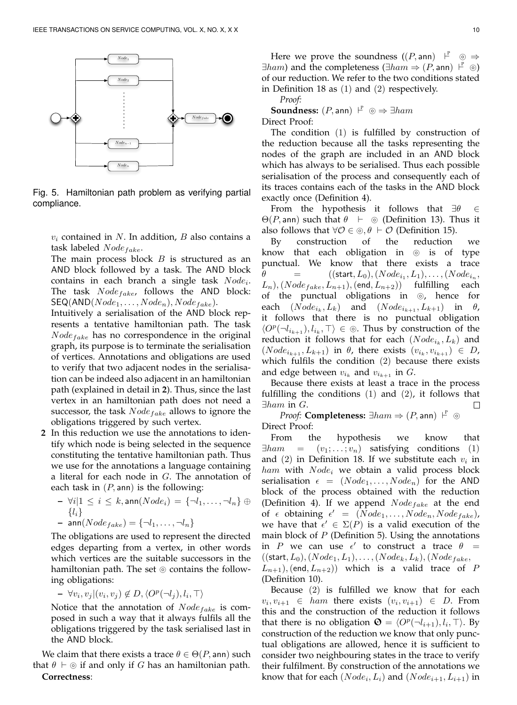

Fig. 5. Hamiltonian path problem as verifying partial compliance.

 $v_i$  contained in N. In addition, B also contains a task labeled  $Node_{fake}$ .

The main process block  $B$  is structured as an AND block followed by a task. The AND block contains in each branch a single task  $Node_i$ . The task  $Node_{fake}$ , follows the AND block:  $\mathsf{SEQ}(\mathsf{AND}(Node_1, \ldots, Node_n),Node_{fake}).$ 

Intuitively a serialisation of the AND block represents a tentative hamiltonian path. The task  $Node<sub>fake</sub>$  has no correspondence in the original graph, its purpose is to terminate the serialisation of vertices. Annotations and obligations are used to verify that two adjacent nodes in the serialisation can be indeed also adjacent in an hamiltonian path (explained in detail in **2**). Thus, since the last vertex in an hamiltonian path does not need a successor, the task  $Node_{fake}$  allows to ignore the obligations triggered by such vertex.

- **2** In this reduction we use the annotations to identify which node is being selected in the sequence constituting the tentative hamiltonian path. Thus we use for the annotations a language containing a literal for each node in  $G$ . The annotation of each task in  $(P, \text{ann})$  is the following:
	- $\forall i | 1 \leq i \leq k$ , ann $(Node_i) = \{\neg l_1, \ldots, \neg l_n\} \oplus$  $\{l_i\}$  $-$  ann( $Node_{fake}$ ) = { $\neg l_1, \ldots, \neg l_n$ }

The obligations are used to represent the directed edges departing from a vertex, in other words which vertices are the suitable successors in the hamiltonian path. The set  $\odot$  contains the following obligations:

 $- \forall v_i, v_j | (v_i, v_j) \notin D, \langle O^p(\neg l_j), l_i, \top \rangle$ 

Notice that the annotation of  $Node_{fake}$  is composed in such a way that it always fulfils all the obligations triggered by the task serialised last in the AND block.

We claim that there exists a trace  $\theta \in \Theta(P, \text{ann})$  such that  $\theta \vdash \circledcirc$  if and only if G has an hamiltonian path. **Correctness**:

Here we prove the soundness  $((P, \text{ann}) \xrightarrow{P} \circledcirc \Rightarrow$  $\exists ham$ ) and the completeness ( $\exists ham \Rightarrow (P, \text{ann}) \vdash^P \circledcirc$ ) of our reduction. We refer to the two conditions stated in Definition 18 as (1) and (2) respectively.

*Proof:* **Soundness:**  $(P, \text{ann})$   $\downarrow^P \odot \Rightarrow \exists ham$ Direct Proof:

The condition (1) is fulfilled by construction of the reduction because all the tasks representing the nodes of the graph are included in an AND block which has always to be serialised. Thus each possible serialisation of the process and consequently each of its traces contains each of the tasks in the AND block exactly once (Definition 4).

From the hypothesis it follows that  $\exists \theta \in \Theta$  $\Theta(P, \text{ann})$  such that  $\theta \vdash \Theta$  (Definition 13). Thus it also follows that  $\forall O \in \textcircled{\theta}, \theta \vdash O$  (Definition 15).<br>By construction of the reduction

construction of the reduction we know that each obligation in  $@$  is of type punctual. We know that there exists a trace  $\theta =$  ((start, L<sub>0</sub>), (Node<sub>i<sub>1</sub></sub>, L<sub>1</sub>), ..., (Node<sub>i<sub>n</sub></sub>,  $(L_n)$ ,  $(Node_{fake}, L_{n+1})$ ,  $(end, L_{n+2})$  fulfilling each of the punctual obligations in  $\odot$ , hence for each  $(Node_{i_k}, L_k)$  and  $(Node_{i_{k+1}}, L_{k+1})$  in  $\theta$ , it follows that there is no punctual obligation  $\langle O^p(\neg l_{i_{k+1}}), l_{i_k}, \top \rangle \in \textcircled{s}$ . Thus by construction of the reduction it follows that for each  $(\mathit{Node}_{i_k}, L_k)$  and  $(Node_{i_{k+1}}, L_{k+1})$  in  $\theta$ , there exists  $(v_{i_k}, v_{i_{k+1}}) \in D$ , which fulfils the condition (2) because there exists and edge between  $v_{i_k}$  and  $v_{i_{k+1}}$  in  $G$ .

Because there exists at least a trace in the process fulfilling the conditions (1) and (2), it follows that  $\exists ham$  in  $G$ .  $\Box$ 

*Proof:* **Completeness:**  $\exists ham \Rightarrow (P, \text{ann}) \vdash^P \circledcirc$ Direct Proof:

From the hypothesis we know that  $\exists ham = (v_1; \ldots; v_n)$  satisfying conditions (1) and  $(2)$  in Definition 18. If we substitute each  $v_i$  in  $ham$  with  $Node_i$  we obtain a valid process block serialisation  $\epsilon = (Node_1, \ldots, Node_n)$  for the AND block of the process obtained with the reduction (Definition 4). If we append  $Node_{fake}$  at the end of  $\epsilon$  obtaining  $\epsilon' = (Node_1, \ldots, Node_n, Node_{fake}),$ we have that  $\epsilon' \in \Sigma(P)$  is a valid execution of the main block of  $P$  (Definition 5). Using the annotations in P we can use  $\epsilon'$  to construct a trace  $\theta =$  $((start, L_0), (Node_1, L_1), \ldots, (Node_k, L_k), (Node_{fake},$  $(L_{n+1}),$  (end,  $L_{n+2})$ ) which is a valid trace of P (Definition 10).

Because (2) is fulfilled we know that for each  $v_i, v_{i+1} \in ham$  there exists  $(v_i, v_{i+1}) \in D$ . From this and the construction of the reduction it follows that there is no obligation  $\mathbf{O} = \langle O^p(\neg l_{i+1}), l_i, \top \rangle$ . By construction of the reduction we know that only punctual obligations are allowed, hence it is sufficient to consider two neighbouring states in the trace to verify their fulfilment. By construction of the annotations we know that for each  $(Node_i, L_i)$  and  $(Node_{i+1}, L_{i+1})$  in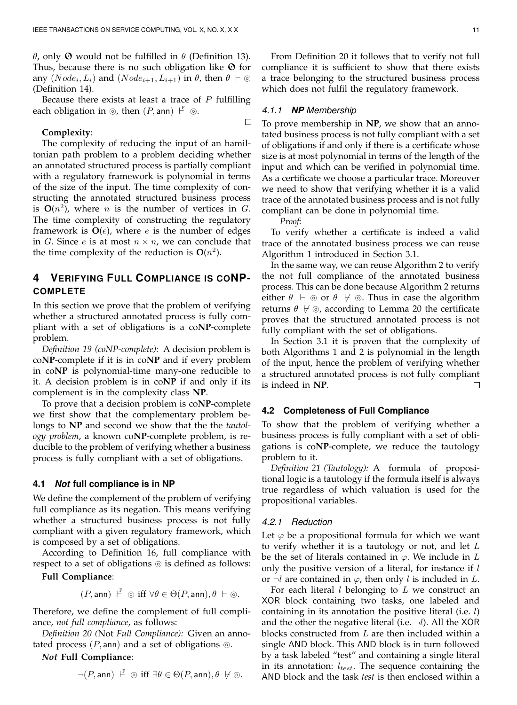θ, only  $\Theta$  would not be fulfilled in θ (Definition 13). Thus, because there is no such obligation like  $\Theta$  for any  $(Node_i, L_i)$  and  $(Node_{i+1}, L_{i+1})$  in  $\theta$ , then  $\theta \vdash \odot$ (Definition 14).

Because there exists at least a trace of  $P$  fulfilling each obligation in  $\circledcirc$ , then  $(P, \mathsf{ann}) \vdash^P \circledcirc$ .

#### **Complexity**:

The complexity of reducing the input of an hamiltonian path problem to a problem deciding whether an annotated structured process is partially compliant with a regulatory framework is polynomial in terms of the size of the input. The time complexity of constructing the annotated structured business process is  $O(n^2)$ , where *n* is the number of vertices in *G*. The time complexity of constructing the regulatory framework is  $O(e)$ , where e is the number of edges in G. Since e is at most  $n \times n$ , we can conclude that the time complexity of the reduction is  $O(n^2)$ .

# **4 VERIFYING FULL COMPLIANCE IS CONP-COMPLETE**

In this section we prove that the problem of verifying whether a structured annotated process is fully compliant with a set of obligations is a co**NP**-complete problem.

*Definition 19 (coNP-complete):* A decision problem is co**NP**-complete if it is in co**NP** and if every problem in co**NP** is polynomial-time many-one reducible to it. A decision problem is in co**NP** if and only if its complement is in the complexity class **NP**.

To prove that a decision problem is co**NP**-complete we first show that the complementary problem belongs to NP and second we show that the the *tautology problem*, a known co**NP**-complete problem, is reducible to the problem of verifying whether a business process is fully compliant with a set of obligations.

#### **4.1** *Not* **full compliance is in NP**

We define the complement of the problem of verifying full compliance as its negation. This means verifying whether a structured business process is not fully compliant with a given regulatory framework, which is composed by a set of obligations.

According to Definition 16, full compliance with respect to a set of obligations  $\circledcirc$  is defined as follows:

**Full Compliance**:

$$
(P, \mathsf{ann}) \vdash^{\mathsf{F}} \circledcirc \text{ iff } \forall \theta \in \Theta(P, \mathsf{ann}), \theta \vdash \circledcirc.
$$

Therefore, we define the complement of full compliance, *not full compliance*, as follows:

*Definition 20 (*Not *Full Compliance):* Given an annotated process  $(P, \text{ann})$  and a set of obligations  $\circledcirc$ .

*Not* **Full Compliance**:

$$
\neg (P, \mathsf{ann}) \vdash^{\mathbb{F}} \circledcirc \text{ iff } \exists \theta \in \Theta(P, \mathsf{ann}), \theta \ \forall \circledcirc.
$$

From Definition 20 it follows that to verify not full compliance it is sufficient to show that there exists a trace belonging to the structured business process which does not fulfil the regulatory framework.

## *4.1.1 NP Membership*

To prove membership in **NP**, we show that an annotated business process is not fully compliant with a set of obligations if and only if there is a certificate whose size is at most polynomial in terms of the length of the input and which can be verified in polynomial time. As a certificate we choose a particular trace. Moreover we need to show that verifying whether it is a valid trace of the annotated business process and is not fully compliant can be done in polynomial time.

*Proof:*

 $\Box$ 

To verify whether a certificate is indeed a valid trace of the annotated business process we can reuse Algorithm 1 introduced in Section 3.1.

In the same way, we can reuse Algorithm 2 to verify the not full compliance of the annotated business process. This can be done because Algorithm 2 returns either  $\theta \vdash \circledcirc$  or  $\theta \not\vdash \circledcirc$ . Thus in case the algorithm returns  $\theta \not\vdash \circledcirc$ , according to Lemma 20 the certificate proves that the structured annotated process is not fully compliant with the set of obligations.

In Section 3.1 it is proven that the complexity of both Algorithms 1 and 2 is polynomial in the length of the input, hence the problem of verifying whether a structured annotated process is not fully compliant is indeed in **NP**.  $\Box$ 

## **4.2 Completeness of Full Compliance**

To show that the problem of verifying whether a business process is fully compliant with a set of obligations is co**NP**-complete, we reduce the tautology problem to it.

*Definition 21 (Tautology):* A formula of propositional logic is a tautology if the formula itself is always true regardless of which valuation is used for the propositional variables.

#### *4.2.1 Reduction*

Let  $\varphi$  be a propositional formula for which we want to verify whether it is a tautology or not, and let  $L$ be the set of literals contained in  $\varphi$ . We include in L only the positive version of a literal, for instance if  $l$ or  $\neg l$  are contained in  $\varphi$ , then only l is included in L.

For each literal  $l$  belonging to  $L$  we construct an XOR block containing two tasks, one labeled and containing in its annotation the positive literal (i.e.  $l$ ) and the other the negative literal (i.e.  $\neg l$ ). All the XOR blocks constructed from  $L$  are then included within a single AND block. This AND block is in turn followed by a task labeled "test" and containing a single literal in its annotation:  $l_{test}$ . The sequence containing the AND block and the task *test* is then enclosed within a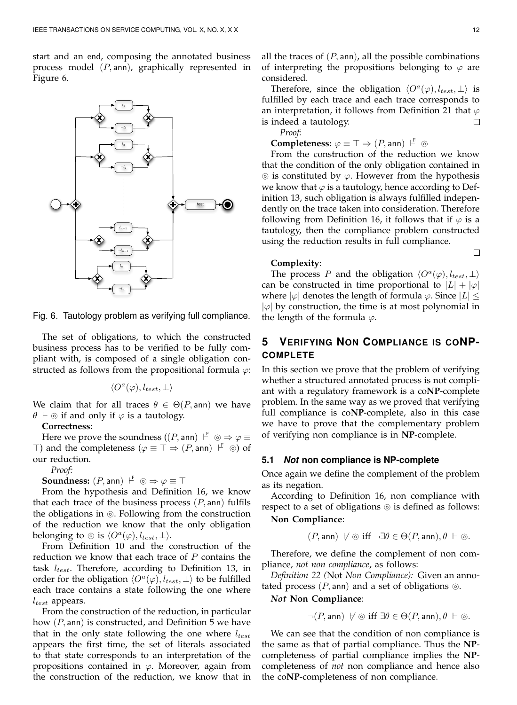start and an end, composing the annotated business process model  $(P, \text{ann})$ , graphically represented in Figure 6.



Fig. 6. Tautology problem as verifying full compliance.

The set of obligations, to which the constructed business process has to be verified to be fully compliant with, is composed of a single obligation constructed as follows from the propositional formula  $\varphi$ :

$$
\langle O^a(\varphi),l_{test},\bot\rangle
$$

We claim that for all traces  $\theta \in \Theta(P, \text{ann})$  we have  $\theta \vdash \circledcirc$  if and only if  $\varphi$  is a tautology.

#### **Correctness**:

Here we prove the soundness  $((P, \text{ann}) \vdash^{\text{F}} \circledcirc \Rightarrow \varphi \equiv$  $\top$ ) and the completeness ( $\varphi \equiv \top \Rightarrow (P, \text{ann}) \vdash^F \circledcirc)$  of our reduction.

*Proof:*

**Soundness:**  $(P, \text{ann})$   $\downarrow^{\text{F}}$   $\odot \Rightarrow \varphi \equiv \top$ 

From the hypothesis and Definition 16, we know that each trace of the business process  $(P, \text{ann})$  fulfils the obligations in  $\odot$ . Following from the construction of the reduction we know that the only obligation belonging to  $\circledcirc$  is  $\langle O^a(\varphi), l_{test}, \perp \rangle$ .

From Definition 10 and the construction of the reduction we know that each trace of  $P$  contains the task  $l_{test}$ . Therefore, according to Definition 13, in order for the obligation  $\langle O^a(\varphi), l_{test}, \perp \rangle$  to be fulfilled each trace contains a state following the one where  $l_{test}$  appears.

From the construction of the reduction, in particular how  $(P, \text{ann})$  is constructed, and Definition 5 we have that in the only state following the one where  $l_{test}$ appears the first time, the set of literals associated to that state corresponds to an interpretation of the propositions contained in  $\varphi$ . Moreover, again from the construction of the reduction, we know that in all the traces of  $(P, \text{ann})$ , all the possible combinations of interpreting the propositions belonging to  $\varphi$  are considered.

Therefore, since the obligation  $\langle O^a(\varphi), l_{test}, \perp \rangle$  is fulfilled by each trace and each trace corresponds to an interpretation, it follows from Definition 21 that  $\varphi$ is indeed a tautology. П

*Proof:*

**Completeness:**  $\varphi \equiv \top \Rightarrow (P, \text{ann}) \vdash^{\text{F}} \circledcirc$ 

From the construction of the reduction we know that the condition of the only obligation contained in  $\circledcirc$  is constituted by  $\varphi$ . However from the hypothesis we know that  $\varphi$  is a tautology, hence according to Definition 13, such obligation is always fulfilled independently on the trace taken into consideration. Therefore following from Definition 16, it follows that if  $\varphi$  is a tautology, then the compliance problem constructed using the reduction results in full compliance.

# **Complexity**:

The process P and the obligation  $\langle O^a(\varphi), l_{test}, \perp \rangle$ can be constructed in time proportional to  $|L| + |\varphi|$ where  $|\varphi|$  denotes the length of formula  $\varphi$ . Since  $|L| \leq$  $|\varphi|$  by construction, the time is at most polynomial in the length of the formula  $\varphi$ .

# **5 VERIFYING NON COMPLIANCE IS CONP-COMPLETE**

In this section we prove that the problem of verifying whether a structured annotated process is not compliant with a regulatory framework is a co**NP**-complete problem. In the same way as we proved that verifying full compliance is co**NP**-complete, also in this case we have to prove that the complementary problem of verifying non compliance is in **NP**-complete.

#### **5.1** *Not* **non compliance is NP-complete**

Once again we define the complement of the problem as its negation.

According to Definition 16, non compliance with respect to a set of obligations  $\circledcirc$  is defined as follows:

# **Non Compliance**:

 $(P, \text{ann}) \not\vdash \circledcirc \text{ iff } \neg \exists \theta \in \Theta(P, \text{ann}), \theta \vdash \circledcirc.$ 

Therefore, we define the complement of non compliance, *not non compliance*, as follows:

*Definition 22 (*Not *Non Compliance):* Given an annotated process  $(P, \text{ann})$  and a set of obligations  $\circledcirc$ .

#### *Not* **Non Compliance**:

$$
\neg (P, \mathsf{ann}) \ \not\vdash \circledcirc \text{ iff } \exists \theta \in \Theta(P, \mathsf{ann}), \theta \ \vdash \circledcirc.
$$

We can see that the condition of non compliance is the same as that of partial compliance. Thus the **NP**completeness of partial compliance implies the **NP**completeness of *not* non compliance and hence also the co**NP**-completeness of non compliance.

 $\Box$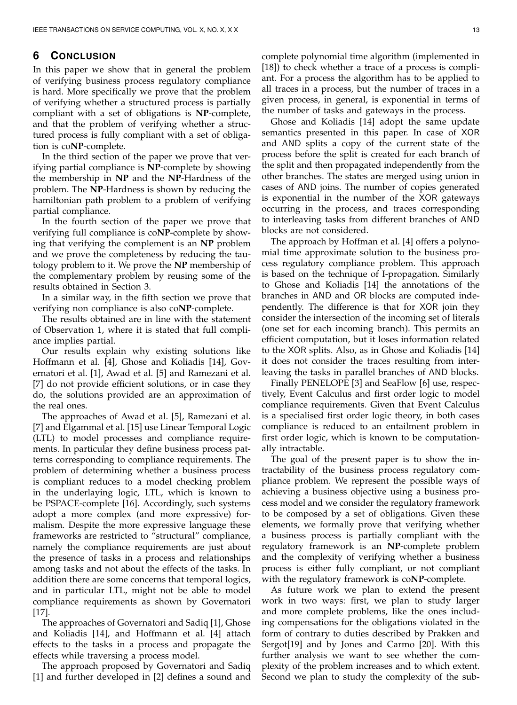# **6 CONCLUSION**

In this paper we show that in general the problem of verifying business process regulatory compliance is hard. More specifically we prove that the problem of verifying whether a structured process is partially compliant with a set of obligations is **NP**-complete, and that the problem of verifying whether a structured process is fully compliant with a set of obligation is co**NP**-complete.

In the third section of the paper we prove that verifying partial compliance is **NP**-complete by showing the membership in **NP** and the **NP**-Hardness of the problem. The **NP**-Hardness is shown by reducing the hamiltonian path problem to a problem of verifying partial compliance.

In the fourth section of the paper we prove that verifying full compliance is co**NP**-complete by showing that verifying the complement is an **NP** problem and we prove the completeness by reducing the tautology problem to it. We prove the **NP** membership of the complementary problem by reusing some of the results obtained in Section 3.

In a similar way, in the fifth section we prove that verifying non compliance is also co**NP**-complete.

The results obtained are in line with the statement of Observation 1, where it is stated that full compliance implies partial.

Our results explain why existing solutions like Hoffmann et al. [4], Ghose and Koliadis [14], Governatori et al. [1], Awad et al. [5] and Ramezani et al. [7] do not provide efficient solutions, or in case they do, the solutions provided are an approximation of the real ones.

The approaches of Awad et al. [5], Ramezani et al. [7] and Elgammal et al. [15] use Linear Temporal Logic (LTL) to model processes and compliance requirements. In particular they define business process patterns corresponding to compliance requirements. The problem of determining whether a business process is compliant reduces to a model checking problem in the underlaying logic, LTL, which is known to be PSPACE-complete [16]. Accordingly, such systems adopt a more complex (and more expressive) formalism. Despite the more expressive language these frameworks are restricted to "structural" compliance, namely the compliance requirements are just about the presence of tasks in a process and relationships among tasks and not about the effects of the tasks. In addition there are some concerns that temporal logics, and in particular LTL, might not be able to model compliance requirements as shown by Governatori [17].

The approaches of Governatori and Sadiq [1], Ghose and Koliadis [14], and Hoffmann et al. [4] attach effects to the tasks in a process and propagate the effects while traversing a process model.

The approach proposed by Governatori and Sadiq [1] and further developed in [2] defines a sound and complete polynomial time algorithm (implemented in [18]) to check whether a trace of a process is compliant. For a process the algorithm has to be applied to all traces in a process, but the number of traces in a given process, in general, is exponential in terms of the number of tasks and gateways in the process.

Ghose and Koliadis [14] adopt the same update semantics presented in this paper. In case of XOR and AND splits a copy of the current state of the process before the split is created for each branch of the split and then propagated independently from the other branches. The states are merged using union in cases of AND joins. The number of copies generated is exponential in the number of the XOR gateways occurring in the process, and traces corresponding to interleaving tasks from different branches of AND blocks are not considered.

The approach by Hoffman et al. [4] offers a polynomial time approximate solution to the business process regulatory compliance problem. This approach is based on the technique of I-propagation. Similarly to Ghose and Koliadis [14] the annotations of the branches in AND and OR blocks are computed independently. The difference is that for XOR join they consider the intersection of the incoming set of literals (one set for each incoming branch). This permits an efficient computation, but it loses information related to the XOR splits. Also, as in Ghose and Koliadis [14] it does not consider the traces resulting from interleaving the tasks in parallel branches of AND blocks.

Finally PENELOPE [3] and SeaFlow [6] use, respectively, Event Calculus and first order logic to model compliance requirements. Given that Event Calculus is a specialised first order logic theory, in both cases compliance is reduced to an entailment problem in first order logic, which is known to be computationally intractable.

The goal of the present paper is to show the intractability of the business process regulatory compliance problem. We represent the possible ways of achieving a business objective using a business process model and we consider the regulatory framework to be composed by a set of obligations. Given these elements, we formally prove that verifying whether a business process is partially compliant with the regulatory framework is an **NP**-complete problem and the complexity of verifying whether a business process is either fully compliant, or not compliant with the regulatory framework is co**NP**-complete.

As future work we plan to extend the present work in two ways: first, we plan to study larger and more complete problems, like the ones including compensations for the obligations violated in the form of contrary to duties described by Prakken and Sergot[19] and by Jones and Carmo [20]. With this further analysis we want to see whether the complexity of the problem increases and to which extent. Second we plan to study the complexity of the sub